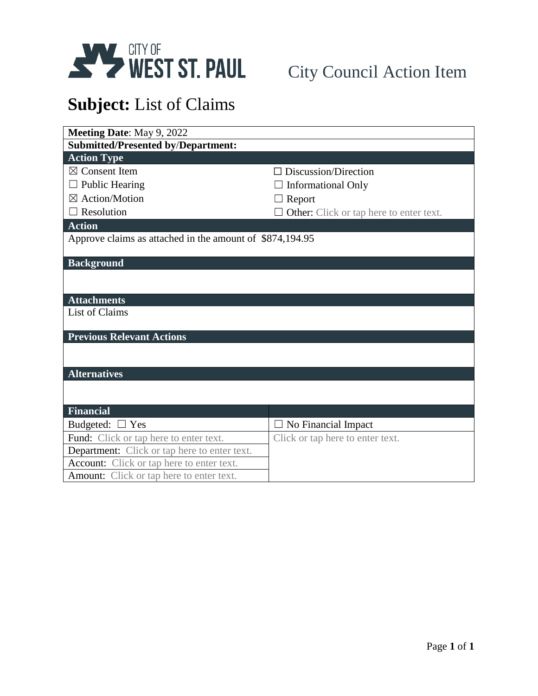

## City Council Action Item

# **Subject:** List of Claims

| Meeting Date: May 9, 2022                                |                                         |  |  |  |
|----------------------------------------------------------|-----------------------------------------|--|--|--|
| <b>Submitted/Presented by/Department:</b>                |                                         |  |  |  |
| <b>Action Type</b>                                       |                                         |  |  |  |
| $\boxtimes$ Consent Item                                 | $\Box$ Discussion/Direction             |  |  |  |
| $\Box$ Public Hearing                                    | $\Box$ Informational Only               |  |  |  |
| $\boxtimes$ Action/Motion                                | $\Box$ Report                           |  |  |  |
| Resolution                                               | Other: Click or tap here to enter text. |  |  |  |
| <b>Action</b>                                            |                                         |  |  |  |
| Approve claims as attached in the amount of \$874,194.95 |                                         |  |  |  |
|                                                          |                                         |  |  |  |
| <b>Background</b>                                        |                                         |  |  |  |
|                                                          |                                         |  |  |  |
| <b>Attachments</b>                                       |                                         |  |  |  |
| <b>List of Claims</b>                                    |                                         |  |  |  |
|                                                          |                                         |  |  |  |
| <b>Previous Relevant Actions</b>                         |                                         |  |  |  |
|                                                          |                                         |  |  |  |
|                                                          |                                         |  |  |  |
| <b>Alternatives</b>                                      |                                         |  |  |  |
|                                                          |                                         |  |  |  |
|                                                          |                                         |  |  |  |
| <b>Financial</b>                                         |                                         |  |  |  |
| Budgeted: $\Box$ Yes                                     | $\Box$ No Financial Impact              |  |  |  |
| Fund: Click or tap here to enter text.                   | Click or tap here to enter text.        |  |  |  |
| <b>Department:</b> Click or tap here to enter text.      |                                         |  |  |  |
| <b>Account:</b> Click or tap here to enter text.         |                                         |  |  |  |
| <b>Amount:</b> Click or tap here to enter text.          |                                         |  |  |  |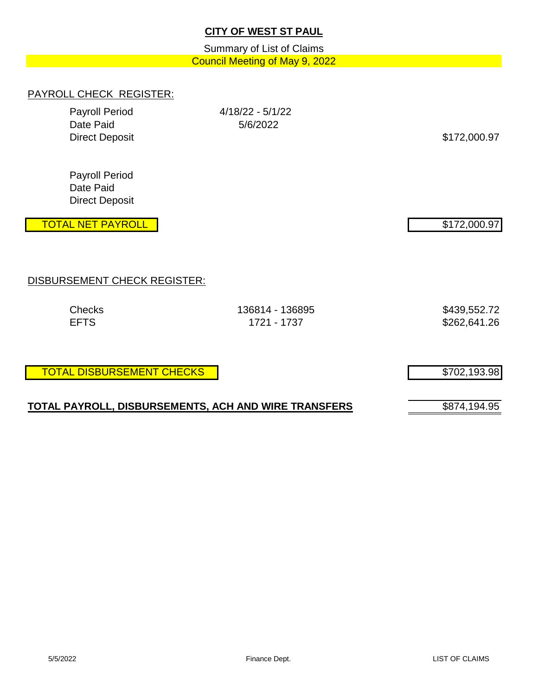### **CITY OF WEST ST PAUL**

Summary of List of Claims Council Meeting of May 9, 2022

### PAYROLL CHECK REGISTER:

Payroll Period 4/18/22 - 5/1/22 Date Paid 5/6/2022 Direct Deposit \$172,000.97

Payroll Period Date Paid Direct Deposit

TOTAL NET PAYROLL TOTAL NET PAYROLL TOTAL NET PAYROLL TOTAL STATES AND STATES OF THE STATES OF THE STATES OF THE STATES OF THE STATES OF THE STATES OF THE STATES OF THE STATES OF THE STATES OF THE STATES OF THE STATES OF T

#### DISBURSEMENT CHECK REGISTER:

| Checks      | 136814 - 136895 | \$439,552.72 |
|-------------|-----------------|--------------|
| <b>EFTS</b> | 1721 - 1737     | \$262,641.26 |

TOTAL DISBURSEMENT CHECKS **TOTAL REGISTS AND STATES** \$702,193.98

### **TOTAL PAYROLL, DISBURSEMENTS, ACH AND WIRE TRANSFERS** \$874,194.95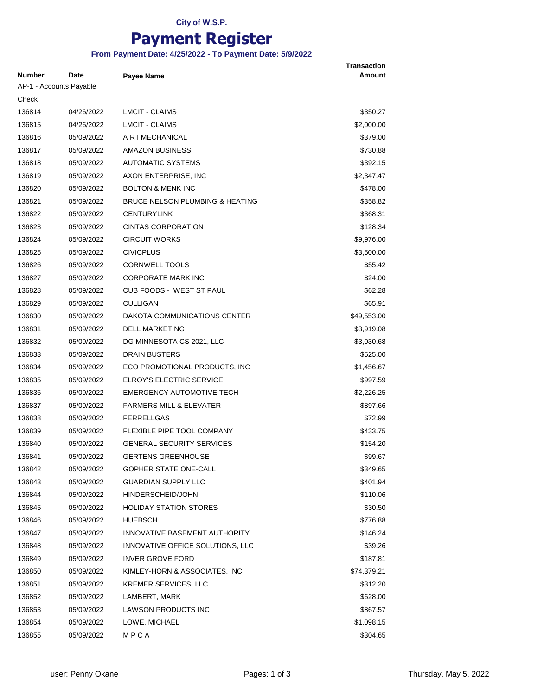### **City of W.S.P.**

## **Payment Register**

### **From Payment Date: 4/25/2022 - To Payment Date: 5/9/2022**

|                                          |             |                                      | <b>Transaction</b> |
|------------------------------------------|-------------|--------------------------------------|--------------------|
| <b>Number</b><br>AP-1 - Accounts Payable | <b>Date</b> | Payee Name                           | <b>Amount</b>      |
| Check                                    |             |                                      |                    |
| 136814                                   | 04/26/2022  | <b>LMCIT - CLAIMS</b>                | \$350.27           |
| 136815                                   | 04/26/2022  | <b>LMCIT - CLAIMS</b>                | \$2,000.00         |
| 136816                                   | 05/09/2022  | A R I MECHANICAL                     | \$379.00           |
| 136817                                   | 05/09/2022  | AMAZON BUSINESS                      | \$730.88           |
| 136818                                   | 05/09/2022  | <b>AUTOMATIC SYSTEMS</b>             | \$392.15           |
| 136819                                   | 05/09/2022  | AXON ENTERPRISE, INC                 | \$2,347.47         |
| 136820                                   | 05/09/2022  | <b>BOLTON &amp; MENK INC</b>         | \$478.00           |
| 136821                                   | 05/09/2022  | BRUCE NELSON PLUMBING & HEATING      | \$358.82           |
| 136822                                   | 05/09/2022  | <b>CENTURYLINK</b>                   | \$368.31           |
| 136823                                   | 05/09/2022  | <b>CINTAS CORPORATION</b>            | \$128.34           |
| 136824                                   | 05/09/2022  | <b>CIRCUIT WORKS</b>                 | \$9,976.00         |
| 136825                                   | 05/09/2022  | <b>CIVICPLUS</b>                     | \$3,500.00         |
| 136826                                   | 05/09/2022  | <b>CORNWELL TOOLS</b>                | \$55.42            |
| 136827                                   | 05/09/2022  | CORPORATE MARK INC                   | \$24.00            |
| 136828                                   | 05/09/2022  | CUB FOODS - WEST ST PAUL             | \$62.28            |
| 136829                                   | 05/09/2022  | <b>CULLIGAN</b>                      | \$65.91            |
| 136830                                   | 05/09/2022  | DAKOTA COMMUNICATIONS CENTER         | \$49,553.00        |
| 136831                                   | 05/09/2022  | <b>DELL MARKETING</b>                | \$3,919.08         |
| 136832                                   | 05/09/2022  | DG MINNESOTA CS 2021, LLC            | \$3,030.68         |
| 136833                                   | 05/09/2022  | DRAIN BUSTERS                        | \$525.00           |
| 136834                                   | 05/09/2022  | ECO PROMOTIONAL PRODUCTS, INC        | \$1,456.67         |
| 136835                                   | 05/09/2022  | ELROY'S ELECTRIC SERVICE             | \$997.59           |
| 136836                                   | 05/09/2022  | EMERGENCY AUTOMOTIVE TECH            | \$2,226.25         |
| 136837                                   | 05/09/2022  | <b>FARMERS MILL &amp; ELEVATER</b>   | \$897.66           |
| 136838                                   | 05/09/2022  | <b>FERRELLGAS</b>                    | \$72.99            |
| 136839                                   | 05/09/2022  | FLEXIBLE PIPE TOOL COMPANY           | \$433.75           |
| 136840                                   | 05/09/2022  | <b>GENERAL SECURITY SERVICES</b>     | \$154.20           |
| 136841                                   | 05/09/2022  | <b>GERTENS GREENHOUSE</b>            | \$99.67            |
| 136842                                   | 05/09/2022  | <b>GOPHER STATE ONE-CALL</b>         | \$349.65           |
| 136843                                   | 05/09/2022  | <b>GUARDIAN SUPPLY LLC</b>           | \$401.94           |
| 136844                                   | 05/09/2022  | HINDERSCHEID/JOHN                    | \$110.06           |
| 136845                                   | 05/09/2022  | <b>HOLIDAY STATION STORES</b>        | \$30.50            |
| 136846                                   | 05/09/2022  | HUEBSCH                              | \$776.88           |
| 136847                                   | 05/09/2022  | <b>INNOVATIVE BASEMENT AUTHORITY</b> | \$146.24           |
| 136848                                   | 05/09/2022  | INNOVATIVE OFFICE SOLUTIONS, LLC     | \$39.26            |
| 136849                                   | 05/09/2022  | <b>INVER GROVE FORD</b>              | \$187.81           |
| 136850                                   | 05/09/2022  | KIMLEY-HORN & ASSOCIATES, INC        | \$74,379.21        |
| 136851                                   | 05/09/2022  | KREMER SERVICES, LLC                 | \$312.20           |
| 136852                                   | 05/09/2022  | LAMBERT, MARK                        | \$628.00           |
| 136853                                   | 05/09/2022  | LAWSON PRODUCTS INC                  | \$867.57           |
| 136854                                   | 05/09/2022  | LOWE, MICHAEL                        | \$1,098.15         |
| 136855                                   | 05/09/2022  | MPCA                                 | \$304.65           |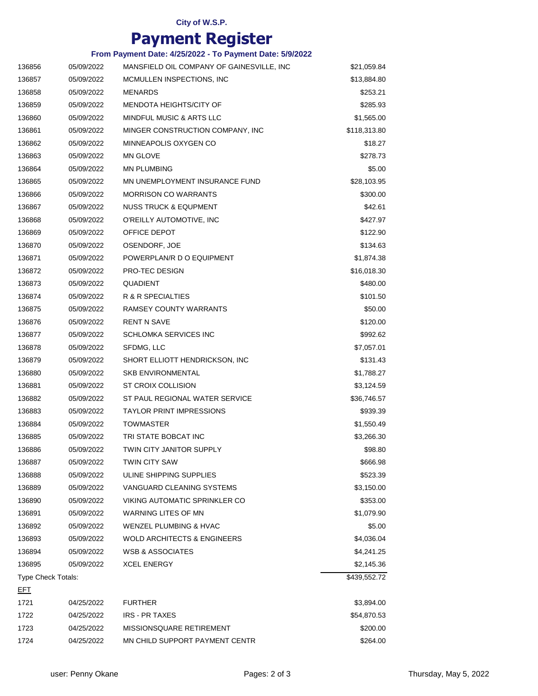### **Payment Register**

|                    |            | From Payment Date: 4/25/2022 - To Payment Date: 5/9/2022 |              |
|--------------------|------------|----------------------------------------------------------|--------------|
| 136856             | 05/09/2022 | MANSFIELD OIL COMPANY OF GAINESVILLE, INC                | \$21,059.84  |
| 136857             | 05/09/2022 | MCMULLEN INSPECTIONS, INC                                | \$13,884.80  |
| 136858             | 05/09/2022 | <b>MENARDS</b>                                           | \$253.21     |
| 136859             | 05/09/2022 | <b>MENDOTA HEIGHTS/CITY OF</b>                           | \$285.93     |
| 136860             | 05/09/2022 | <b>MINDFUL MUSIC &amp; ARTS LLC</b>                      | \$1,565.00   |
| 136861             | 05/09/2022 | MINGER CONSTRUCTION COMPANY, INC                         | \$118,313.80 |
| 136862             | 05/09/2022 | MINNEAPOLIS OXYGEN CO                                    | \$18.27      |
| 136863             | 05/09/2022 | <b>MN GLOVE</b>                                          | \$278.73     |
| 136864             | 05/09/2022 | <b>MN PLUMBING</b>                                       | \$5.00       |
| 136865             | 05/09/2022 | MN UNEMPLOYMENT INSURANCE FUND                           | \$28,103.95  |
| 136866             | 05/09/2022 | <b>MORRISON CO WARRANTS</b>                              | \$300.00     |
| 136867             | 05/09/2022 | <b>NUSS TRUCK &amp; EQUPMENT</b>                         | \$42.61      |
| 136868             | 05/09/2022 | O'REILLY AUTOMOTIVE, INC                                 | \$427.97     |
| 136869             | 05/09/2022 | OFFICE DEPOT                                             | \$122.90     |
| 136870             | 05/09/2022 | OSENDORF, JOE                                            | \$134.63     |
| 136871             | 05/09/2022 | POWERPLAN/R D O EQUIPMENT                                | \$1,874.38   |
| 136872             | 05/09/2022 | PRO-TEC DESIGN                                           | \$16,018.30  |
| 136873             | 05/09/2022 | QUADIENT                                                 | \$480.00     |
| 136874             | 05/09/2022 | R & R SPECIALTIES                                        | \$101.50     |
| 136875             | 05/09/2022 | RAMSEY COUNTY WARRANTS                                   | \$50.00      |
| 136876             | 05/09/2022 | <b>RENT N SAVE</b>                                       | \$120.00     |
| 136877             | 05/09/2022 | SCHLOMKA SERVICES INC                                    | \$992.62     |
| 136878             | 05/09/2022 | SFDMG, LLC                                               | \$7,057.01   |
| 136879             | 05/09/2022 | SHORT ELLIOTT HENDRICKSON, INC                           | \$131.43     |
| 136880             | 05/09/2022 | <b>SKB ENVIRONMENTAL</b>                                 | \$1,788.27   |
| 136881             | 05/09/2022 | <b>ST CROIX COLLISION</b>                                | \$3,124.59   |
| 136882             | 05/09/2022 | ST PAUL REGIONAL WATER SERVICE                           | \$36,746.57  |
| 136883             | 05/09/2022 | TAYLOR PRINT IMPRESSIONS                                 | \$939.39     |
| 136884             | 05/09/2022 | <b>TOWMASTER</b>                                         | \$1,550.49   |
| 136885             | 05/09/2022 | TRI STATE BOBCAT INC                                     | \$3,266.30   |
| 136886             | 05/09/2022 | TWIN CITY JANITOR SUPPLY                                 | \$98.80      |
| 136887             | 05/09/2022 | TWIN CITY SAW                                            | \$666.98     |
| 136888             | 05/09/2022 | ULINE SHIPPING SUPPLIES                                  | \$523.39     |
| 136889             | 05/09/2022 | VANGUARD CLEANING SYSTEMS                                | \$3,150.00   |
| 136890             | 05/09/2022 | VIKING AUTOMATIC SPRINKLER CO                            | \$353.00     |
| 136891             | 05/09/2022 | <b>WARNING LITES OF MN</b>                               | \$1,079.90   |
| 136892             | 05/09/2022 | WENZEL PLUMBING & HVAC                                   | \$5.00       |
| 136893             | 05/09/2022 | <b>WOLD ARCHITECTS &amp; ENGINEERS</b>                   | \$4,036.04   |
| 136894             | 05/09/2022 | WSB & ASSOCIATES                                         | \$4,241.25   |
| 136895             | 05/09/2022 | <b>XCEL ENERGY</b>                                       | \$2,145.36   |
| Type Check Totals: |            |                                                          | \$439,552.72 |
| <u>EFT</u>         |            |                                                          |              |
| 1721               | 04/25/2022 | <b>FURTHER</b>                                           | \$3,894.00   |
| 1722               | 04/25/2022 | <b>IRS - PR TAXES</b>                                    | \$54,870.53  |
| 1723               | 04/25/2022 | MISSIONSQUARE RETIREMENT                                 | \$200.00     |
| 1724               | 04/25/2022 | MN CHILD SUPPORT PAYMENT CENTR                           | \$264.00     |